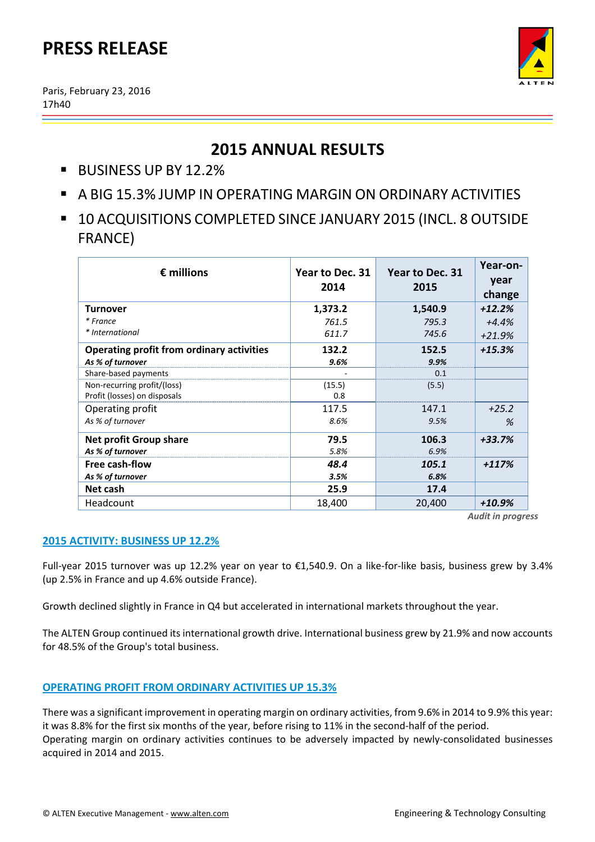# **PRESS RELEASE**

Paris, February 23, 2016 17h40



# **2015 ANNUAL RESULTS**

- BUSINESS UP BY 12.2%
- A BIG 15.3% JUMP IN OPERATING MARGIN ON ORDINARY ACTIVITIES
- **10 ACQUISITIONS COMPLETED SINCE JANUARY 2015 (INCL. 8 OUTSIDE** FRANCE)

| $\epsilon$ millions                                                  | Year to Dec. 31<br>2014 | Year to Dec. 31<br>2015 | Year-on-<br>year<br>change |
|----------------------------------------------------------------------|-------------------------|-------------------------|----------------------------|
| Turnover                                                             | 1,373.2                 | 1,540.9                 | $+12.2%$                   |
| * France                                                             | 761.5                   | 795.3                   | $+4.4%$                    |
| * International                                                      | 611.7                   | 745.6                   | $+21.9%$                   |
| <b>Operating profit from ordinary activities</b><br>As % of turnover | 132.2<br>9.6%           | 152.5<br>9.9%           | $+15.3%$                   |
| Share-based payments                                                 |                         | 0.1                     |                            |
| Non-recurring profit/(loss)<br>Profit (losses) on disposals          | (15.5)<br>0.8           | (5.5)                   |                            |
| Operating profit                                                     | 117.5                   | 147.1                   | $+25.2$                    |
| As % of turnover                                                     | 8.6%                    | 9.5%                    | %                          |
| <b>Net profit Group share</b>                                        | 79.5                    | 106.3                   | $+33.7%$                   |
| As % of turnover                                                     | 5.8%                    | 6.9%                    |                            |
| Free cash-flow                                                       | 48.4                    | 105.1                   | $+117%$                    |
| As % of turnover                                                     | 3.5%                    | 6.8%                    |                            |
| Net cash                                                             | 25.9                    | 17.4                    |                            |
| Headcount                                                            | 18,400                  | 20,400                  | +10.9%                     |

*Audit in progress*

### **2015 ACTIVITY: BUSINESS UP 12.2%**

Full‐year 2015 turnover was up 12.2% year on year to €1,540.9. On a like‐for‐like basis, business grew by 3.4% (up 2.5% in France and up 4.6% outside France).

Growth declined slightly in France in Q4 but accelerated in international markets throughout the year.

The ALTEN Group continued its international growth drive. International business grew by 21.9% and now accounts for 48.5% of the Group's total business.

## **OPERATING PROFIT FROM ORDINARY ACTIVITIES UP 15.3%**

There was a significant improvement in operating margin on ordinary activities, from 9.6% in 2014 to 9.9% this year: it was 8.8% for the first six months of the year, before rising to 11% in the second-half of the period. Operating margin on ordinary activities continues to be adversely impacted by newly-consolidated businesses acquired in 2014 and 2015.